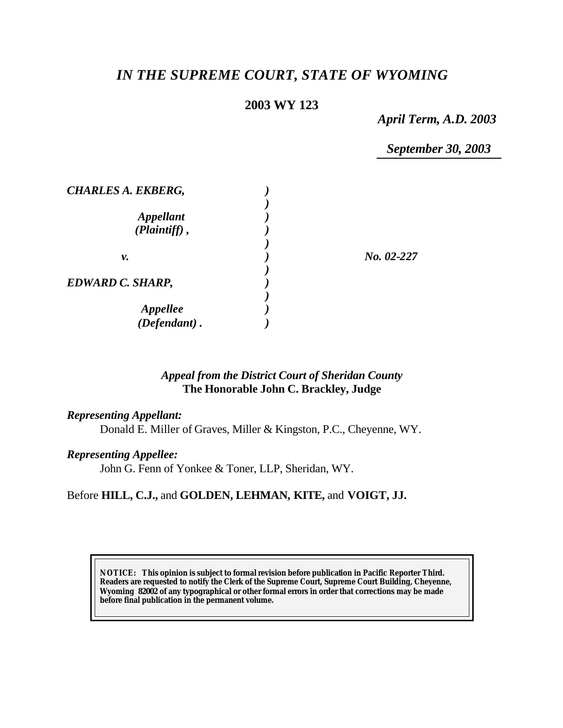# *IN THE SUPREME COURT, STATE OF WYOMING*

# **2003 WY 123**

*April Term, A.D. 2003*

*September 30, 2003*

| <b>CHARLES A. EKBERG,</b> |              |
|---------------------------|--------------|
|                           |              |
| <i><b>Appellant</b></i>   |              |
| $(Plaintiff)$ ,           |              |
|                           |              |
| ν.                        | $No. 02-227$ |
|                           |              |
| <b>EDWARD C. SHARP,</b>   |              |
|                           |              |
| <i><b>Appellee</b></i>    |              |
| $(Defendant)$ .           |              |

# *Appeal from the District Court of Sheridan County* **The Honorable John C. Brackley, Judge**

#### *Representing Appellant:*

Donald E. Miller of Graves, Miller & Kingston, P.C., Cheyenne, WY.

#### *Representing Appellee:*

John G. Fenn of Yonkee & Toner, LLP, Sheridan, WY.

# Before **HILL, C.J.,** and **GOLDEN, LEHMAN, KITE,** and **VOIGT, JJ.**

**NOTICE:** *This opinion is subject to formal revision before publication in Pacific Reporter Third. Readers are requested to notify the Clerk of the Supreme Court, Supreme Court Building, Cheyenne, Wyoming 82002 of any typographical or other formal errors in order that corrections may be made before final publication in the permanent volume.*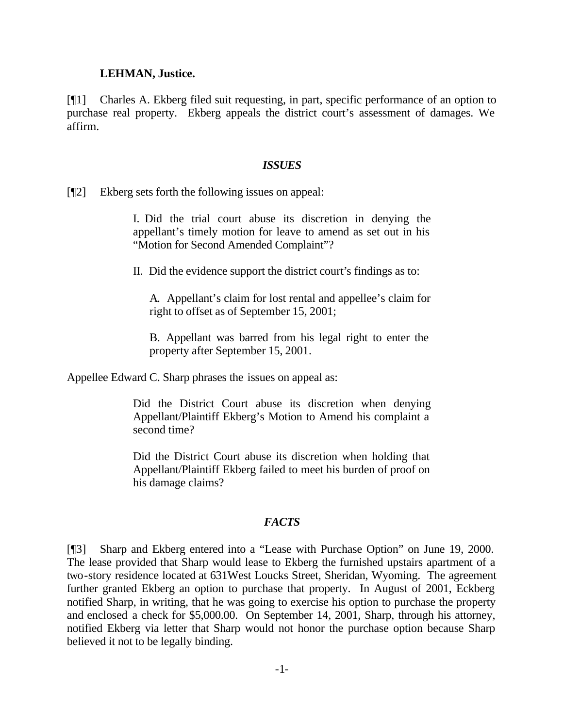#### **LEHMAN, Justice.**

[¶1] Charles A. Ekberg filed suit requesting, in part, specific performance of an option to purchase real property. Ekberg appeals the district court's assessment of damages. We affirm.

#### *ISSUES*

[¶2] Ekberg sets forth the following issues on appeal:

I. Did the trial court abuse its discretion in denying the appellant's timely motion for leave to amend as set out in his "Motion for Second Amended Complaint"?

II. Did the evidence support the district court's findings as to:

A. Appellant's claim for lost rental and appellee's claim for right to offset as of September 15, 2001;

B. Appellant was barred from his legal right to enter the property after September 15, 2001.

Appellee Edward C. Sharp phrases the issues on appeal as:

Did the District Court abuse its discretion when denying Appellant/Plaintiff Ekberg's Motion to Amend his complaint a second time?

Did the District Court abuse its discretion when holding that Appellant/Plaintiff Ekberg failed to meet his burden of proof on his damage claims?

#### *FACTS*

[¶3] Sharp and Ekberg entered into a "Lease with Purchase Option" on June 19, 2000. The lease provided that Sharp would lease to Ekberg the furnished upstairs apartment of a two-story residence located at 631West Loucks Street, Sheridan, Wyoming. The agreement further granted Ekberg an option to purchase that property. In August of 2001, Eckberg notified Sharp, in writing, that he was going to exercise his option to purchase the property and enclosed a check for \$5,000.00. On September 14, 2001, Sharp, through his attorney, notified Ekberg via letter that Sharp would not honor the purchase option because Sharp believed it not to be legally binding.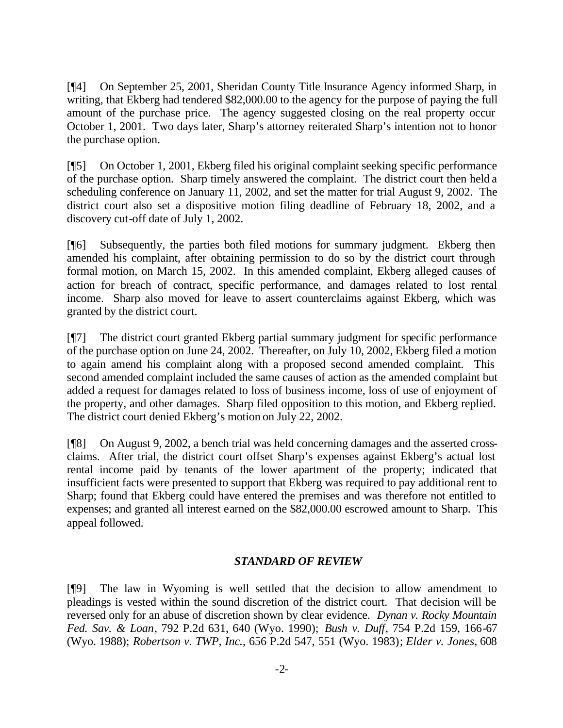[¶4] On September 25, 2001, Sheridan County Title Insurance Agency informed Sharp, in writing, that Ekberg had tendered \$82,000.00 to the agency for the purpose of paying the full amount of the purchase price. The agency suggested closing on the real property occur October 1, 2001. Two days later, Sharp's attorney reiterated Sharp's intention not to honor the purchase option.

[¶5] On October 1, 2001, Ekberg filed his original complaint seeking specific performance of the purchase option. Sharp timely answered the complaint. The district court then held a scheduling conference on January 11, 2002, and set the matter for trial August 9, 2002. The district court also set a dispositive motion filing deadline of February 18, 2002, and a discovery cut-off date of July 1, 2002.

[¶6] Subsequently, the parties both filed motions for summary judgment. Ekberg then amended his complaint, after obtaining permission to do so by the district court through formal motion, on March 15, 2002. In this amended complaint, Ekberg alleged causes of action for breach of contract, specific performance, and damages related to lost rental income. Sharp also moved for leave to assert counterclaims against Ekberg, which was granted by the district court.

[¶7] The district court granted Ekberg partial summary judgment for specific performance of the purchase option on June 24, 2002. Thereafter, on July 10, 2002, Ekberg filed a motion to again amend his complaint along with a proposed second amended complaint. This second amended complaint included the same causes of action as the amended complaint but added a request for damages related to loss of business income, loss of use of enjoyment of the property, and other damages. Sharp filed opposition to this motion, and Ekberg replied. The district court denied Ekberg's motion on July 22, 2002.

[¶8] On August 9, 2002, a bench trial was held concerning damages and the asserted crossclaims. After trial, the district court offset Sharp's expenses against Ekberg's actual lost rental income paid by tenants of the lower apartment of the property; indicated that insufficient facts were presented to support that Ekberg was required to pay additional rent to Sharp; found that Ekberg could have entered the premises and was therefore not entitled to expenses; and granted all interest earned on the \$82,000.00 escrowed amount to Sharp. This appeal followed.

# *STANDARD OF REVIEW*

[¶9] The law in Wyoming is well settled that the decision to allow amendment to pleadings is vested within the sound discretion of the district court. That decision will be reversed only for an abuse of discretion shown by clear evidence. *Dynan v. Rocky Mountain Fed. Sav. & Loan*, 792 P.2d 631, 640 (Wyo. 1990); *Bush v. Duff*, 754 P.2d 159, 166-67 (Wyo. 1988); *Robertson v. TWP, Inc.*, 656 P.2d 547, 551 (Wyo. 1983); *Elder v. Jones*, 608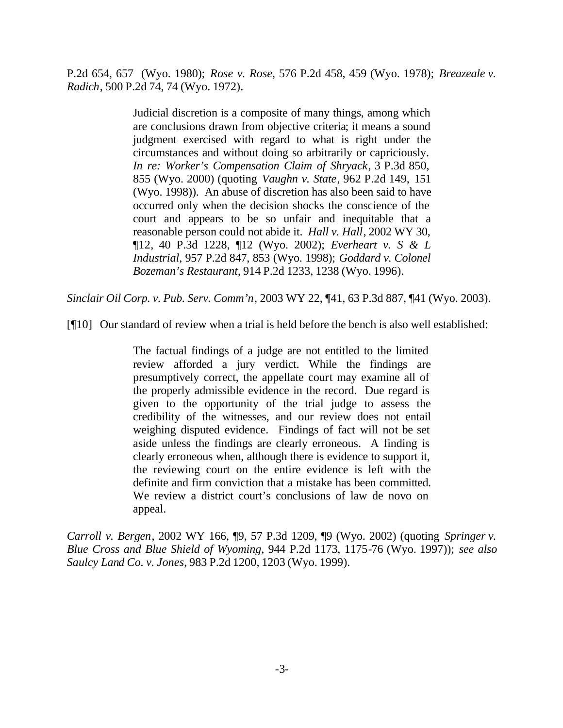P.2d 654, 657 (Wyo. 1980); *Rose v. Rose*, 576 P.2d 458, 459 (Wyo. 1978); *Breazeale v. Radich*, 500 P.2d 74, 74 (Wyo. 1972).

> Judicial discretion is a composite of many things, among which are conclusions drawn from objective criteria; it means a sound judgment exercised with regard to what is right under the circumstances and without doing so arbitrarily or capriciously. *In re: Worker's Compensation Claim of Shryack*, 3 P.3d 850, 855 (Wyo. 2000) (quoting *Vaughn v. State*, 962 P.2d 149, 151 (Wyo. 1998)). An abuse of discretion has also been said to have occurred only when the decision shocks the conscience of the court and appears to be so unfair and inequitable that a reasonable person could not abide it. *Hall v. Hall*, 2002 WY 30, ¶12, 40 P.3d 1228, ¶12 (Wyo. 2002); *Everheart v. S & L Industrial*, 957 P.2d 847, 853 (Wyo. 1998); *Goddard v. Colonel Bozeman's Restaurant*, 914 P.2d 1233, 1238 (Wyo. 1996).

*Sinclair Oil Corp. v. Pub. Serv. Comm'n*, 2003 WY 22, ¶41, 63 P.3d 887, ¶41 (Wyo. 2003).

[¶10] Our standard of review when a trial is held before the bench is also well established:

The factual findings of a judge are not entitled to the limited review afforded a jury verdict. While the findings are presumptively correct, the appellate court may examine all of the properly admissible evidence in the record. Due regard is given to the opportunity of the trial judge to assess the credibility of the witnesses, and our review does not entail weighing disputed evidence. Findings of fact will not be set aside unless the findings are clearly erroneous. A finding is clearly erroneous when, although there is evidence to support it, the reviewing court on the entire evidence is left with the definite and firm conviction that a mistake has been committed. We review a district court's conclusions of law de novo on appeal.

*Carroll v. Bergen*, 2002 WY 166, ¶9, 57 P.3d 1209, ¶9 (Wyo. 2002) (quoting *Springer v. Blue Cross and Blue Shield of Wyoming*, 944 P.2d 1173, 1175-76 (Wyo. 1997)); *see also Saulcy Land Co. v. Jones*, 983 P.2d 1200, 1203 (Wyo. 1999).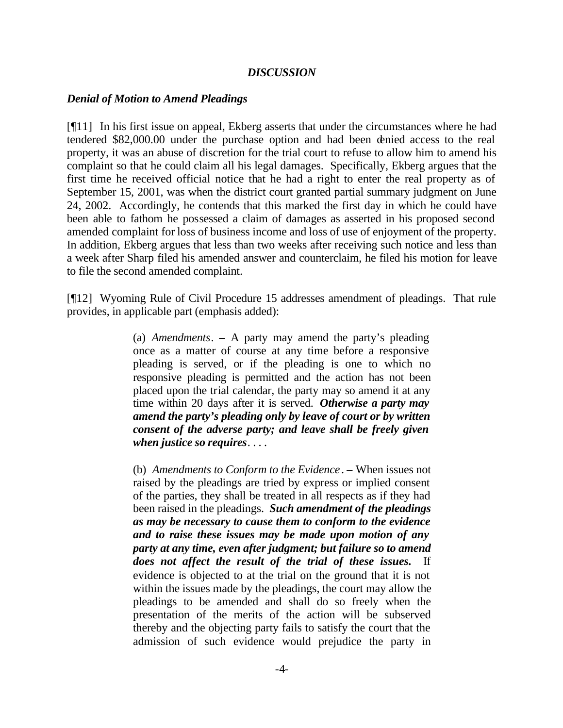#### *DISCUSSION*

#### *Denial of Motion to Amend Pleadings*

[¶11] In his first issue on appeal, Ekberg asserts that under the circumstances where he had tendered \$82,000.00 under the purchase option and had been denied access to the real property, it was an abuse of discretion for the trial court to refuse to allow him to amend his complaint so that he could claim all his legal damages. Specifically, Ekberg argues that the first time he received official notice that he had a right to enter the real property as of September 15, 2001, was when the district court granted partial summary judgment on June 24, 2002. Accordingly, he contends that this marked the first day in which he could have been able to fathom he possessed a claim of damages as asserted in his proposed second amended complaint for loss of business income and loss of use of enjoyment of the property. In addition, Ekberg argues that less than two weeks after receiving such notice and less than a week after Sharp filed his amended answer and counterclaim, he filed his motion for leave to file the second amended complaint.

[¶12] Wyoming Rule of Civil Procedure 15 addresses amendment of pleadings. That rule provides, in applicable part (emphasis added):

> (a) *Amendments*. – A party may amend the party's pleading once as a matter of course at any time before a responsive pleading is served, or if the pleading is one to which no responsive pleading is permitted and the action has not been placed upon the trial calendar, the party may so amend it at any time within 20 days after it is served. *Otherwise a party may amend the party's pleading only by leave of court or by written consent of the adverse party; and leave shall be freely given when justice so requires*. . . .

> (b) *Amendments to Conform to the Evidence*. – When issues not raised by the pleadings are tried by express or implied consent of the parties, they shall be treated in all respects as if they had been raised in the pleadings. *Such amendment of the pleadings as may be necessary to cause them to conform to the evidence and to raise these issues may be made upon motion of any party at any time, even after judgment; but failure so to amend does not affect the result of the trial of these issues.* If evidence is objected to at the trial on the ground that it is not within the issues made by the pleadings, the court may allow the pleadings to be amended and shall do so freely when the presentation of the merits of the action will be subserved thereby and the objecting party fails to satisfy the court that the admission of such evidence would prejudice the party in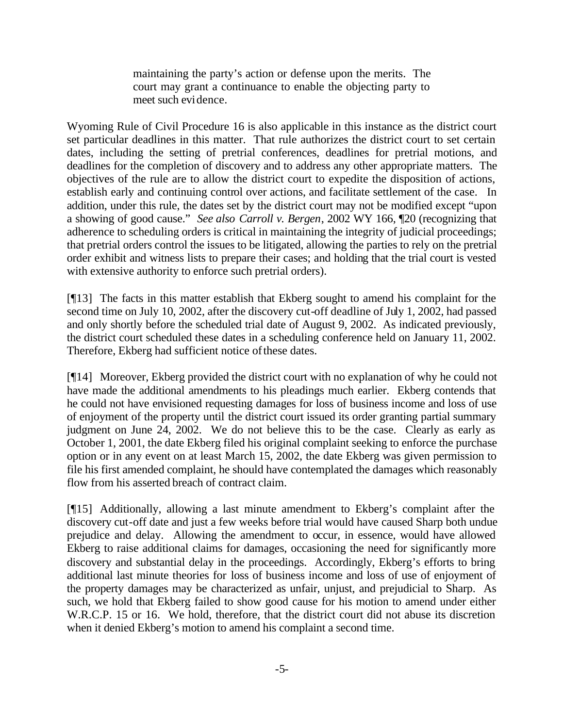maintaining the party's action or defense upon the merits. The court may grant a continuance to enable the objecting party to meet such evidence.

Wyoming Rule of Civil Procedure 16 is also applicable in this instance as the district court set particular deadlines in this matter. That rule authorizes the district court to set certain dates, including the setting of pretrial conferences, deadlines for pretrial motions, and deadlines for the completion of discovery and to address any other appropriate matters. The objectives of the rule are to allow the district court to expedite the disposition of actions, establish early and continuing control over actions, and facilitate settlement of the case. In addition, under this rule, the dates set by the district court may not be modified except "upon a showing of good cause." *See also Carroll v. Bergen*, 2002 WY 166, ¶20 (recognizing that adherence to scheduling orders is critical in maintaining the integrity of judicial proceedings; that pretrial orders control the issues to be litigated, allowing the parties to rely on the pretrial order exhibit and witness lists to prepare their cases; and holding that the trial court is vested with extensive authority to enforce such pretrial orders).

[¶13] The facts in this matter establish that Ekberg sought to amend his complaint for the second time on July 10, 2002, after the discovery cut-off deadline of July 1, 2002, had passed and only shortly before the scheduled trial date of August 9, 2002. As indicated previously, the district court scheduled these dates in a scheduling conference held on January 11, 2002. Therefore, Ekberg had sufficient notice of these dates.

[¶14] Moreover, Ekberg provided the district court with no explanation of why he could not have made the additional amendments to his pleadings much earlier. Ekberg contends that he could not have envisioned requesting damages for loss of business income and loss of use of enjoyment of the property until the district court issued its order granting partial summary judgment on June 24, 2002. We do not believe this to be the case. Clearly as early as October 1, 2001, the date Ekberg filed his original complaint seeking to enforce the purchase option or in any event on at least March 15, 2002, the date Ekberg was given permission to file his first amended complaint, he should have contemplated the damages which reasonably flow from his asserted breach of contract claim.

[¶15] Additionally, allowing a last minute amendment to Ekberg's complaint after the discovery cut-off date and just a few weeks before trial would have caused Sharp both undue prejudice and delay. Allowing the amendment to occur, in essence, would have allowed Ekberg to raise additional claims for damages, occasioning the need for significantly more discovery and substantial delay in the proceedings. Accordingly, Ekberg's efforts to bring additional last minute theories for loss of business income and loss of use of enjoyment of the property damages may be characterized as unfair, unjust, and prejudicial to Sharp. As such, we hold that Ekberg failed to show good cause for his motion to amend under either W.R.C.P. 15 or 16. We hold, therefore, that the district court did not abuse its discretion when it denied Ekberg's motion to amend his complaint a second time.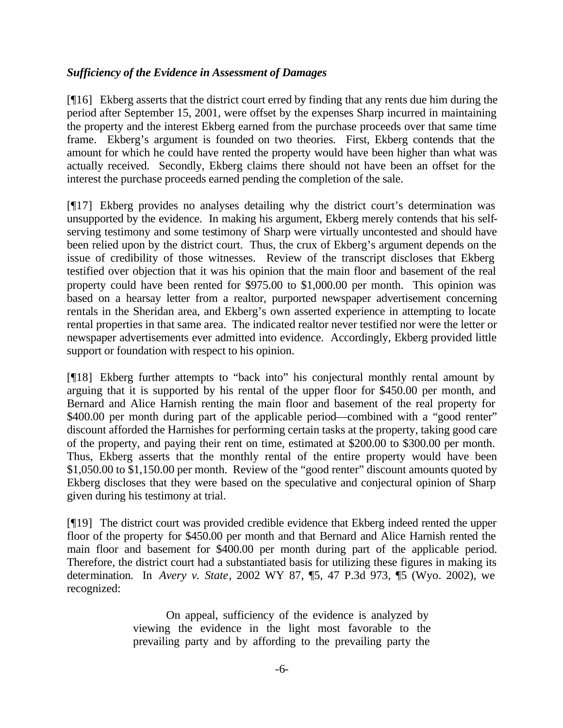# *Sufficiency of the Evidence in Assessment of Damages*

[¶16] Ekberg asserts that the district court erred by finding that any rents due him during the period after September 15, 2001, were offset by the expenses Sharp incurred in maintaining the property and the interest Ekberg earned from the purchase proceeds over that same time frame. Ekberg's argument is founded on two theories. First, Ekberg contends that the amount for which he could have rented the property would have been higher than what was actually received. Secondly, Ekberg claims there should not have been an offset for the interest the purchase proceeds earned pending the completion of the sale.

[¶17] Ekberg provides no analyses detailing why the district court's determination was unsupported by the evidence. In making his argument, Ekberg merely contends that his selfserving testimony and some testimony of Sharp were virtually uncontested and should have been relied upon by the district court. Thus, the crux of Ekberg's argument depends on the issue of credibility of those witnesses. Review of the transcript discloses that Ekberg testified over objection that it was his opinion that the main floor and basement of the real property could have been rented for \$975.00 to \$1,000.00 per month. This opinion was based on a hearsay letter from a realtor, purported newspaper advertisement concerning rentals in the Sheridan area, and Ekberg's own asserted experience in attempting to locate rental properties in that same area. The indicated realtor never testified nor were the letter or newspaper advertisements ever admitted into evidence. Accordingly, Ekberg provided little support or foundation with respect to his opinion.

[¶18] Ekberg further attempts to "back into" his conjectural monthly rental amount by arguing that it is supported by his rental of the upper floor for \$450.00 per month, and Bernard and Alice Harnish renting the main floor and basement of the real property for \$400.00 per month during part of the applicable period—combined with a "good renter" discount afforded the Harnishes for performing certain tasks at the property, taking good care of the property, and paying their rent on time, estimated at \$200.00 to \$300.00 per month. Thus, Ekberg asserts that the monthly rental of the entire property would have been \$1,050.00 to \$1,150.00 per month. Review of the "good renter" discount amounts quoted by Ekberg discloses that they were based on the speculative and conjectural opinion of Sharp given during his testimony at trial.

[¶19] The district court was provided credible evidence that Ekberg indeed rented the upper floor of the property for \$450.00 per month and that Bernard and Alice Harnish rented the main floor and basement for \$400.00 per month during part of the applicable period. Therefore, the district court had a substantiated basis for utilizing these figures in making its determination. In *Avery v. State*, 2002 WY 87, ¶5, 47 P.3d 973, ¶5 (Wyo. 2002), we recognized:

> On appeal, sufficiency of the evidence is analyzed by viewing the evidence in the light most favorable to the prevailing party and by affording to the prevailing party the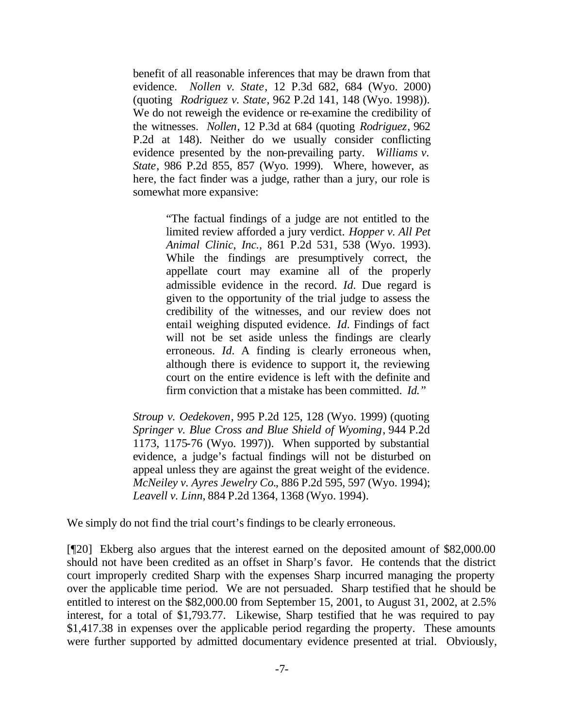benefit of all reasonable inferences that may be drawn from that evidence. *Nollen v. State*, 12 P.3d 682, 684 (Wyo. 2000) (quoting *Rodriguez v. State*, 962 P.2d 141, 148 (Wyo. 1998)). We do not reweigh the evidence or re-examine the credibility of the witnesses. *Nollen*, 12 P.3d at 684 (quoting *Rodriguez*, 962 P.2d at 148). Neither do we usually consider conflicting evidence presented by the non-prevailing party. *Williams v. State*, 986 P.2d 855, 857 (Wyo. 1999). Where, however, as here, the fact finder was a judge, rather than a jury, our role is somewhat more expansive:

> "The factual findings of a judge are not entitled to the limited review afforded a jury verdict. *Hopper v. All Pet Animal Clinic, Inc.*, 861 P.2d 531, 538 (Wyo. 1993). While the findings are presumptively correct, the appellate court may examine all of the properly admissible evidence in the record. *Id.* Due regard is given to the opportunity of the trial judge to assess the credibility of the witnesses, and our review does not entail weighing disputed evidence. *Id.* Findings of fact will not be set aside unless the findings are clearly erroneous. *Id.* A finding is clearly erroneous when, although there is evidence to support it, the reviewing court on the entire evidence is left with the definite and firm conviction that a mistake has been committed. *Id."*

*Stroup v. Oedekoven*, 995 P.2d 125, 128 (Wyo. 1999) (quoting *Springer v. Blue Cross and Blue Shield of Wyoming*, 944 P.2d 1173, 1175-76 (Wyo. 1997)). When supported by substantial evidence, a judge's factual findings will not be disturbed on appeal unless they are against the great weight of the evidence. *McNeiley v. Ayres Jewelry Co.*, 886 P.2d 595, 597 (Wyo. 1994); *Leavell v. Linn*, 884 P.2d 1364, 1368 (Wyo. 1994).

We simply do not find the trial court's findings to be clearly erroneous.

[¶20] Ekberg also argues that the interest earned on the deposited amount of \$82,000.00 should not have been credited as an offset in Sharp's favor. He contends that the district court improperly credited Sharp with the expenses Sharp incurred managing the property over the applicable time period. We are not persuaded. Sharp testified that he should be entitled to interest on the \$82,000.00 from September 15, 2001, to August 31, 2002, at 2.5% interest, for a total of \$1,793.77. Likewise, Sharp testified that he was required to pay \$1,417.38 in expenses over the applicable period regarding the property. These amounts were further supported by admitted documentary evidence presented at trial. Obviously,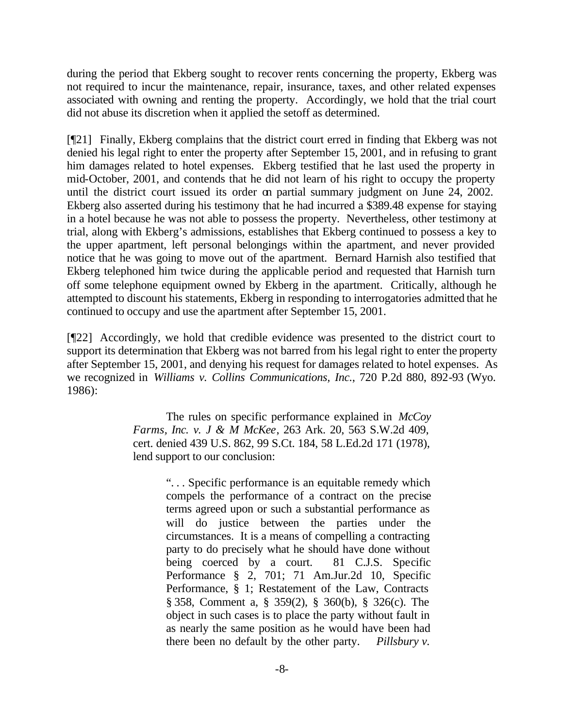during the period that Ekberg sought to recover rents concerning the property, Ekberg was not required to incur the maintenance, repair, insurance, taxes, and other related expenses associated with owning and renting the property. Accordingly, we hold that the trial court did not abuse its discretion when it applied the setoff as determined.

[¶21] Finally, Ekberg complains that the district court erred in finding that Ekberg was not denied his legal right to enter the property after September 15, 2001, and in refusing to grant him damages related to hotel expenses. Ekberg testified that he last used the property in mid-October, 2001, and contends that he did not learn of his right to occupy the property until the district court issued its order on partial summary judgment on June 24, 2002. Ekberg also asserted during his testimony that he had incurred a \$389.48 expense for staying in a hotel because he was not able to possess the property. Nevertheless, other testimony at trial, along with Ekberg's admissions, establishes that Ekberg continued to possess a key to the upper apartment, left personal belongings within the apartment, and never provided notice that he was going to move out of the apartment. Bernard Harnish also testified that Ekberg telephoned him twice during the applicable period and requested that Harnish turn off some telephone equipment owned by Ekberg in the apartment. Critically, although he attempted to discount his statements, Ekberg in responding to interrogatories admitted that he continued to occupy and use the apartment after September 15, 2001.

[¶22] Accordingly, we hold that credible evidence was presented to the district court to support its determination that Ekberg was not barred from his legal right to enter the property after September 15, 2001, and denying his request for damages related to hotel expenses. As we recognized in *Williams v. Collins Communications, Inc.*, 720 P.2d 880, 892-93 (Wyo. 1986):

> The rules on specific performance explained in *McCoy Farms, Inc. v. J & M McKee*, 263 Ark. 20, 563 S.W.2d 409, cert. denied 439 U.S. 862, 99 S.Ct. 184, 58 L.Ed.2d 171 (1978), lend support to our conclusion:

> > ". . . Specific performance is an equitable remedy which compels the performance of a contract on the precise terms agreed upon or such a substantial performance as will do justice between the parties under the circumstances. It is a means of compelling a contracting party to do precisely what he should have done without being coerced by a court. 81 C.J.S. Specific Performance § 2, 701; 71 Am.Jur.2d 10, Specific Performance, § 1; Restatement of the Law, Contracts § 358, Comment a, § 359(2), § 360(b), § 326(c). The object in such cases is to place the party without fault in as nearly the same position as he would have been had there been no default by the other party. *Pillsbury v.*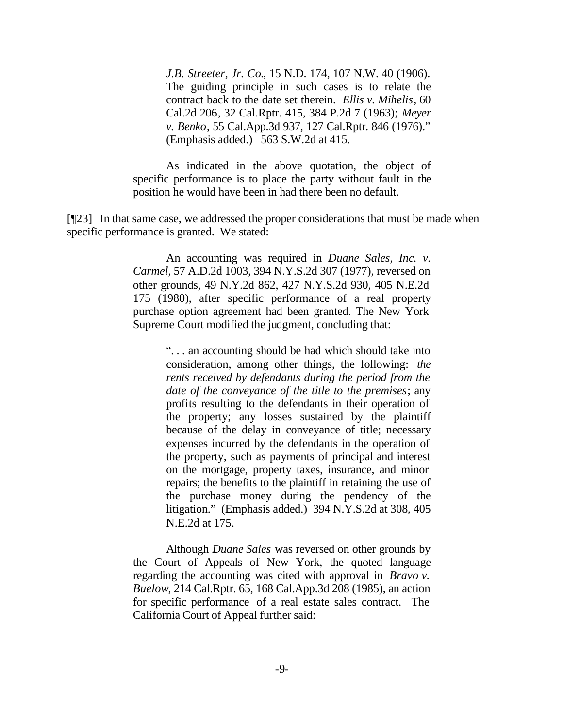*J.B. Streeter, Jr. Co.*, 15 N.D. 174, 107 N.W. 40 (1906). The guiding principle in such cases is to relate the contract back to the date set therein. *Ellis v. Mihelis*, 60 Cal.2d 206, 32 Cal.Rptr. 415, 384 P.2d 7 (1963); *Meyer v. Benko*, 55 Cal.App.3d 937, 127 Cal.Rptr. 846 (1976)." (Emphasis added.) 563 S.W.2d at 415.

As indicated in the above quotation, the object of specific performance is to place the party without fault in the position he would have been in had there been no default.

[¶23] In that same case, we addressed the proper considerations that must be made when specific performance is granted. We stated:

> An accounting was required in *Duane Sales, Inc. v. Carmel*, 57 A.D.2d 1003, 394 N.Y.S.2d 307 (1977), reversed on other grounds, 49 N.Y.2d 862, 427 N.Y.S.2d 930, 405 N.E.2d 175 (1980), after specific performance of a real property purchase option agreement had been granted. The New York Supreme Court modified the judgment, concluding that:

> > ". . . an accounting should be had which should take into consideration, among other things, the following: *the rents received by defendants during the period from the date of the conveyance of the title to the premises*; any profits resulting to the defendants in their operation of the property; any losses sustained by the plaintiff because of the delay in conveyance of title; necessary expenses incurred by the defendants in the operation of the property, such as payments of principal and interest on the mortgage, property taxes, insurance, and minor repairs; the benefits to the plaintiff in retaining the use of the purchase money during the pendency of the litigation." (Emphasis added.) 394 N.Y.S.2d at 308, 405 N.E.2d at 175.

Although *Duane Sales* was reversed on other grounds by the Court of Appeals of New York, the quoted language regarding the accounting was cited with approval in *Bravo v. Buelow*, 214 Cal.Rptr. 65, 168 Cal.App.3d 208 (1985), an action for specific performance of a real estate sales contract. The California Court of Appeal further said: